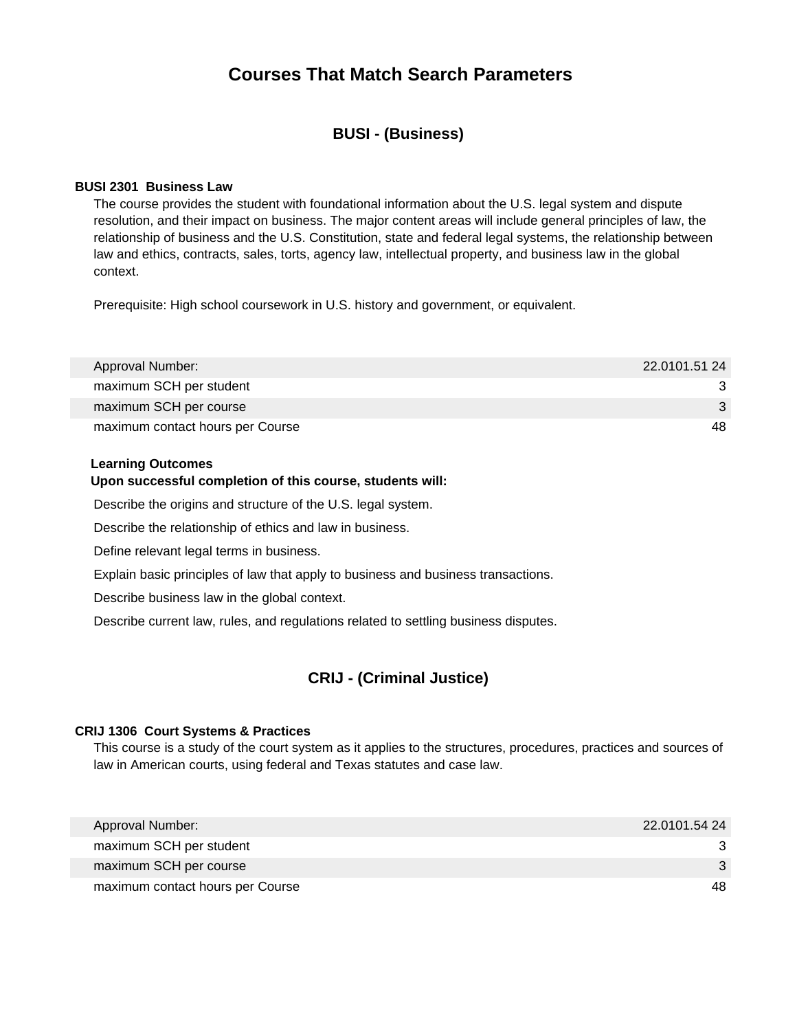# **Courses That Match Search Parameters**

# **BUSI - (Business)**

# **BUSI 2301 Business Law**

The course provides the student with foundational information about the U.S. legal system and dispute resolution, and their impact on business. The major content areas will include general principles of law, the relationship of business and the U.S. Constitution, state and federal legal systems, the relationship between law and ethics, contracts, sales, torts, agency law, intellectual property, and business law in the global context.

Prerequisite: High school coursework in U.S. history and government, or equivalent.

| Approval Number:                 | 22.0101.51 24 |
|----------------------------------|---------------|
| maximum SCH per student          |               |
| maximum SCH per course           | 3             |
| maximum contact hours per Course | 48            |

#### **Learning Outcomes**

#### **Upon successful completion of this course, students will:**

Describe the origins and structure of the U.S. legal system.

Describe the relationship of ethics and law in business.

Define relevant legal terms in business.

Explain basic principles of law that apply to business and business transactions.

Describe business law in the global context.

Describe current law, rules, and regulations related to settling business disputes.

# **CRIJ - (Criminal Justice)**

#### **CRIJ 1306 Court Systems & Practices**

This course is a study of the court system as it applies to the structures, procedures, practices and sources of law in American courts, using federal and Texas statutes and case law.

| Approval Number:                 | 22.0101.54 24 |
|----------------------------------|---------------|
| maximum SCH per student          |               |
| maximum SCH per course           |               |
| maximum contact hours per Course | 48.           |